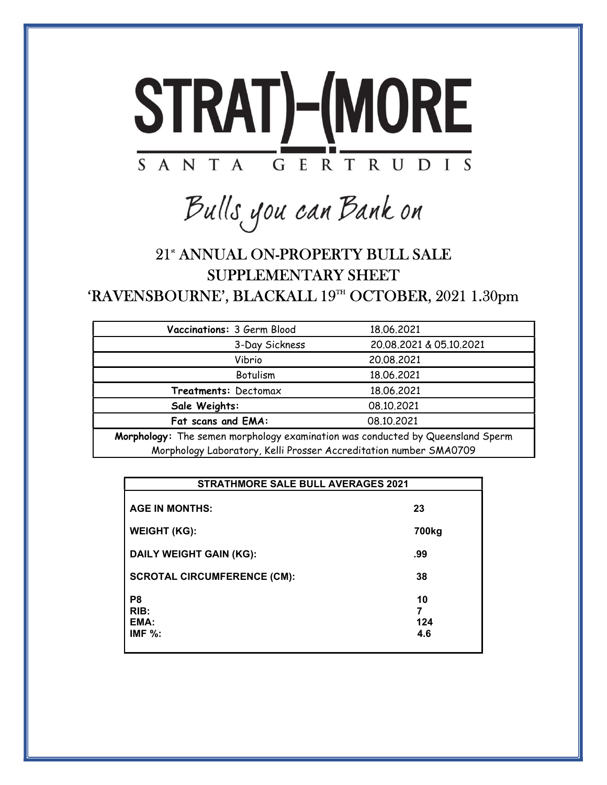

Bulls you can Bank on

## 21<sup>st</sup> ANNUAL ON-PROPERTY BULL SALE SUPPLEMENTARY SHEET 'RAVENSBOURNE', BLACKALL 19<sup>TH</sup> OCTOBER, 2021 1.30pm

| Vaccinations: 3 Germ Blood                                                     | 18,06,2021              |  |  |  |  |
|--------------------------------------------------------------------------------|-------------------------|--|--|--|--|
| 3-Day Sickness                                                                 | 20.08.2021 & 05.10.2021 |  |  |  |  |
| Vibrio                                                                         | 20.08.2021              |  |  |  |  |
| Botulism                                                                       | 18.06.2021              |  |  |  |  |
| Treatments: Dectomax                                                           | 18.06.2021              |  |  |  |  |
| Sale Weights:                                                                  | 08.10.2021              |  |  |  |  |
| Fat scans and EMA:                                                             | 08.10.2021              |  |  |  |  |
| Morphology: The semen morphology examination was conducted by Queensland Sperm |                         |  |  |  |  |

|                                              | <b>STRATHMORE SALE BULL AVERAGES 2021</b> |  |  |  |  |
|----------------------------------------------|-------------------------------------------|--|--|--|--|
| <b>AGE IN MONTHS:</b>                        | 23                                        |  |  |  |  |
| <b>WEIGHT (KG):</b>                          | 700 <sub>kg</sub>                         |  |  |  |  |
| <b>DAILY WEIGHT GAIN (KG):</b>               | .99                                       |  |  |  |  |
| <b>SCROTAL CIRCUMFERENCE (CM):</b>           | 38                                        |  |  |  |  |
| P <sub>8</sub><br>RIB:<br>EMA:<br>IMF $\%$ : | 10<br>7<br>124<br>4.6                     |  |  |  |  |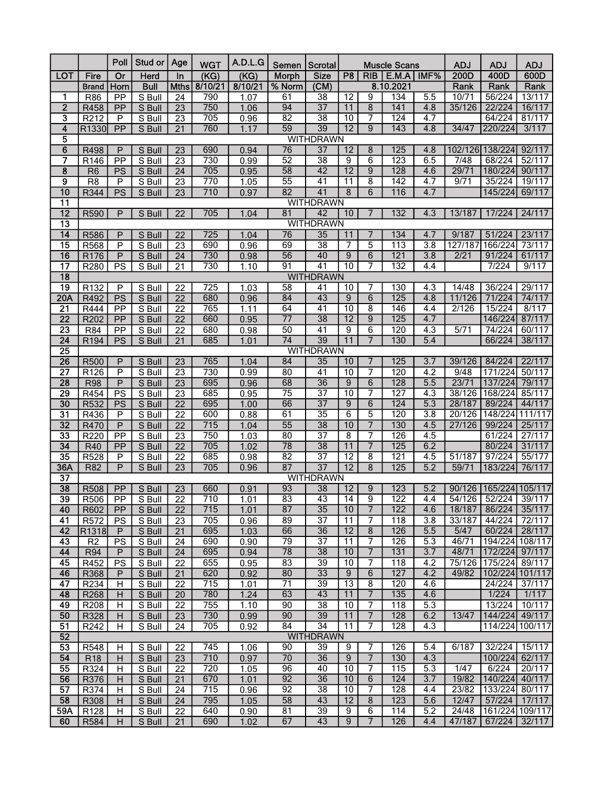|                                           |                              | Poll                           | Stud or          | Age                   | <b>WGT</b>       | A.D.L.G      | Semen   Scrotal |                                     |                       |                     | <b>Muscle Scans</b> |                         | <b>ADJ</b>       | <b>ADJ</b>                 | <b>ADJ</b>        |
|-------------------------------------------|------------------------------|--------------------------------|------------------|-----------------------|------------------|--------------|-----------------|-------------------------------------|-----------------------|---------------------|---------------------|-------------------------|------------------|----------------------------|-------------------|
| <b>LOT</b>                                | Fire                         | $\overline{or}$                | Herd             | In                    | (KG)             | (KG)         | <b>Morph</b>    | <b>Size</b>                         | P8                    | <b>RIB</b>          | $E.M.A$   IMF%      |                         | 200D             | 400D                       | 600D              |
|                                           | <b>Brand</b>                 | Horn                           | <b>Bull</b>      | Mths                  | 8/10/21          | 8/10/21      | % Norm          | (CM)                                |                       |                     | 8.10.2021           |                         | Rank             | Rank                       | Rank              |
| 1                                         | <b>R86</b>                   | PP                             | S Bull           | 24                    | 790              | 1.07         | 61              | 38                                  | $\overline{12}$       | 9                   | 134                 | 5.5                     | 10/71            | 56/224                     | 13/117            |
| $\overline{2}$                            | R458                         | PP                             | S Bull           | $\overline{23}$       | 750              | 1.06         | 94              | $\overline{37}$                     | $\overline{11}$       | $\overline{8}$      | 141                 | 4.8                     | 35/126           | 22/224                     | 16/117            |
| $\overline{\mathbf{3}}$                   | R212                         | $\mathsf{P}$                   | S Bull           | $\overline{23}$       | 705              | 0.96         | $\overline{82}$ | $\overline{38}$                     | $\overline{10}$       | $\overline{7}$      | 124                 | 4.7                     |                  | 64/224                     | 81/117            |
| $\overline{\bf{4}}$                       | R <sub>1330</sub>            | PP                             | S Bull           | 21                    | 760              | 1.17         | $\overline{59}$ | 39                                  | $\overline{12}$       | 9                   | 143                 | 4.8                     | 34/47            | 220/224                    | 3/117             |
| $\overline{\mathbf{5}}$<br>$\overline{6}$ | R498                         | P                              | S Bull           | 23                    | 690              | 0.94         | $\overline{76}$ | <b>WITHDRAWN</b><br>$\overline{37}$ | $\overline{12}$       | 8                   | 125                 | 4.8                     |                  | 102/126 138/224            | 92/117            |
| 7                                         | R <sub>146</sub>             | PP                             | S Bull           | $\overline{23}$       | 730              | 0.99         | $\overline{52}$ | $\overline{38}$                     | 9                     | 6                   | 123                 | 6.5                     | 7/48             | 68/224                     | 52/117            |
| $\overline{\mathbf{8}}$                   | R <sub>6</sub>               | PS                             | S Bull           | 24                    | 705              | 0.95         | $\overline{58}$ | $\overline{42}$                     | $\overline{12}$       | 9                   | 128                 | 4.6                     | 29/71            | 180/224                    | 90/117            |
| $\overline{\mathsf{g}}$                   | R <sub>8</sub>               | P                              | S Bull           | 23                    | 770              | 1.05         | $\overline{55}$ | 41                                  | 11                    | 8                   | 142                 | 4.7                     | 9/71             | 35/224                     | 19/117            |
| 10                                        | R344                         | PS                             | S Bull           | 23                    | 710              | 0.97         | $\overline{82}$ | 41                                  | $\overline{8}$        | $\overline{6}$      | 116                 | 4.7                     |                  | 145/224                    | 69/117            |
| $\overline{11}$                           |                              |                                |                  |                       |                  |              |                 | <b>WITHDRAWN</b>                    |                       |                     |                     |                         |                  |                            |                   |
| $\overline{12}$                           | R590                         | P                              | S Bull           | $\overline{22}$       | 705              | 1.04         | 81              | 42                                  | 10                    | 7                   | 132                 | 4.3                     | 13/187           | 17/224                     | 24/117            |
| $\overline{13}$                           |                              |                                |                  |                       |                  |              |                 | <b>WITHDRAWN</b>                    |                       |                     |                     |                         |                  |                            |                   |
| $\overline{14}$                           | R586                         | P                              | S Bull           | 22                    | 725              | 1.04         | 76              | $\overline{35}$                     | 11                    | 7                   | 134                 | 4.7                     | 9/187            | 51/224                     | 23/117            |
| $\overline{15}$                           | R568                         | P                              | S Bull           | 23                    | 690              | 0.96         | 69              | 38                                  | 7                     | 5                   | 113                 | $\overline{3.8}$        | 127/187          | 166/224                    | 73/117            |
| 16                                        | R176                         | $\mathsf{P}$                   | S Bull           | 24                    | 730              | 0.98         | 56              | 40                                  | $\overline{9}$        | $\overline{6}$      | 121                 | 3.8                     | 2/21             | 91/224                     | 61/117            |
| $\overline{17}$                           | R280                         | PS                             | S Bull           | 21                    | 730              | 1.10         | 91              | 41                                  | 10                    | 7                   | 132                 | 4.4                     |                  | 7/224                      | 9/117             |
| $\overline{18}$<br>$\overline{19}$        | R132                         | P                              | S Bull           | 22                    | 725              | 1.03         | $\overline{58}$ | <b>WITHDRAWN</b><br>$\overline{41}$ | 10                    | 7                   | 130                 | 4.3                     | 14/48            | 36/224                     | 29/117            |
| 20A                                       | R492                         | PS                             | S Bull           | $\overline{22}$       | 680              | 0.96         | 84              | 43                                  | $\overline{9}$        | $\overline{6}$      | 125                 | 4.8                     | 11/126           | 71/224                     | 74/117            |
| $\overline{21}$                           | R444                         | PP                             | S Bull           | 22                    | 765              | 1.11         | 64              | 41                                  | 10                    | 8                   | 146                 | 4.4                     | 2/126            | 15/224                     | 8/117             |
| $\overline{22}$                           | R <sub>202</sub>             | $\overline{PP}$                | S Bull           | $\overline{22}$       | 660              | 0.95         | $\overline{77}$ | 38                                  | $\overline{12}$       | 9                   | 125                 | 4.7                     |                  | 146/224                    | 87/117            |
| $\overline{23}$                           | R84                          | PP                             | S Bull           | 22                    | 680              | 0.98         | $\overline{50}$ | $\overline{41}$                     | 9                     | 6                   | 120                 | 4.3                     | 5/71             | 74/224                     | 60/117            |
| $\overline{24}$                           | R194                         | PS                             | S Bull           | $\overline{21}$       | 685              | 1.01         | $\overline{74}$ | 39                                  | $\overline{11}$       | $\overline{7}$      | 130                 | 5.4                     |                  | 66/224                     | 38/117            |
| $\overline{25}$                           |                              |                                |                  |                       |                  |              |                 | <b>WITHDRAWN</b>                    |                       |                     |                     |                         |                  |                            |                   |
| 26                                        | <b>R500</b>                  | $\mathsf{P}$                   | S Bull           | 23                    | 765              | 1.04         | 84              | 35                                  | 10                    | 7                   | 125                 | 3.7                     | 39/126           | 84/224                     | 22/117            |
| $\overline{27}$                           | R126                         | P                              | S Bull           | $\overline{23}$       | 730              | 0.99         | $\overline{80}$ | $\overline{41}$                     | 10                    | 7                   | 120                 | $\overline{4.2}$        | 9/48             | 171/224                    | 50/117            |
| $\overline{28}$                           | <b>R98</b>                   | P                              | S Bull           | 23                    | 695              | 0.96         | 68              | $\overline{36}$                     | $\overline{9}$        | 6                   | 128                 | 5.5                     | 23/71            | 137/224                    | 79/117            |
| 29                                        | R454                         | PS                             | S Bull           | 23                    | 685              | 0.95         | $\overline{75}$ | $\overline{37}$                     | $\overline{10}$       | 7                   | 127                 | $\overline{4.3}$        | 38/126           | 168/224                    | 85/117            |
| 30                                        | R532                         | <b>PS</b>                      | S Bull           | $\overline{22}$       | 695              | 1.00         | 66<br>61        | $\overline{37}$                     | $\overline{9}$        | $6\overline{6}$     | 124<br>120          | 5.3                     | 28/187           | 89/224                     | 44/117<br>111/117 |
| $\overline{31}$<br>32                     | R436<br>R470                 | $\mathsf{P}$<br>$\overline{P}$ | S Bull<br>S Bull | $\overline{22}$<br>22 | 600<br>715       | 0.88<br>1.04 | $\overline{55}$ | $\overline{35}$<br>38               | 6<br>10               | $\overline{5}$<br>7 | 130                 | $\overline{3.8}$<br>4.5 | 20/126<br>27/126 | 148/224<br>99/224          | 25/117            |
| $\overline{33}$                           | R220                         | PP                             | S Bull           | 23                    | 750              | 1.03         | $\overline{80}$ | $\overline{37}$                     | $\overline{8}$        | 7                   | 126                 | 4.5                     |                  | 61/224                     | 27/117            |
| 34                                        | <b>R40</b>                   | PP                             | S Bull           | 22                    | 705              | 1.02         | 78              | 38                                  | $\overline{11}$       | 7                   | 125                 | 6.2                     |                  | 80/224                     | 31/117            |
| $\overline{35}$                           | R528                         | $\mathsf{P}$                   | S Bull           | $\overline{22}$       | 685              | 0.98         | $\overline{82}$ | $\overline{37}$                     | $\overline{12}$       | 8                   | 121                 | 4.5                     | 51/187           | 97/224                     | 55/177            |
| 36A                                       | <b>R82</b>                   | P                              | S Bull           | $\overline{23}$       | 705              | 0.96         | 87              | $\overline{37}$                     | $\overline{12}$       | 8                   | 125                 | 5.2                     | 59/71            | 183/224                    | 76/117            |
| $\overline{37}$                           |                              |                                |                  |                       |                  |              |                 | <b>WITHDRAWN</b>                    |                       |                     |                     |                         |                  |                            |                   |
| 38                                        | <b>R508</b>                  | PP                             | S Bull           | 23                    | 660              | 0.91         | 93              | 38                                  | 12                    | 9                   | 123                 | 5.2                     |                  | 90/126   165/224   105/117 |                   |
| $\overline{39}$                           | R506 PP                      |                                | S Bull           | $\overline{22}$       | 710              | 1.01         | $\overline{83}$ | 43                                  | $\overline{14}$       | $\overline{9}$      | 122                 | 4.4                     |                  | 54/126 52/224 39/117       |                   |
| 40                                        | R602                         | PP                             | S Bull           | 22                    | 715              | 1.01         | 87              | 35                                  | 10                    | $\overline{7}$      | 122                 | 4.6                     | 18/187           | 86/224                     | 35/117            |
| 41                                        | R572                         | PS                             | S Bull           | 23                    | 705              | 0.96         | 89              | $\overline{37}$                     | 11                    | 7                   | 118                 | $\overline{3.8}$        | 33/187           | 44/224                     | 72/117            |
| 42                                        | R <sub>1318</sub>            | P                              | S Bull           | 21                    | 695              | 1.03         | 66              | 36                                  | 12                    | 8                   | 126                 | 5.5                     | 5/47             | 60/224                     | 28/117            |
| 43<br>44                                  | R <sub>2</sub><br><b>R94</b> | PS<br>P                        | S Bull<br>S Bull | 24<br>24              | 690<br>695       | 0.90<br>0.94 | 79<br>78        | $\overline{37}$<br>$\overline{38}$  | $\overline{11}$<br>10 | 7<br>$\overline{7}$ | 126<br>$131$        | 5.3<br>3.7              | 46/71<br>48/71   | 194/224 108/117<br>172/224 | 97/117            |
| 45                                        | R452                         | PS                             | S Bull           | 22                    | 655              | 0.95         | 83              | 39                                  | $\overline{10}$       | 7                   | 118                 | 4.2                     | 75/126           | 175/224                    | 89/117            |
| 46                                        | R368                         | P                              | S Bull           | 21                    | 620              | 0.92         | 80              | 33                                  | $\overline{9}$        | 6                   | 127                 | 4.2                     | 49/82            | 102/224 101/117            |                   |
| 47                                        | R234                         | Н                              | S Bull           | 22                    | 715              | 1.01         | $\overline{71}$ | 39                                  | $\overline{13}$       | 8                   | 120                 | 4.6                     |                  | 24/224                     | 37/117            |
| 48                                        | R268                         | Н                              | S Bull           | 20                    | 780              | 1.24         | 63              | 43                                  | 11                    | $\overline{7}$      | 135                 | 4.6                     |                  | 1/224                      | 1/117             |
| 49                                        | R208                         | Н                              | S Bull           | 22                    | 755              | 1.10         | 90              | $\overline{38}$                     | $\overline{10}$       | $\overline{7}$      | 118                 | 5.3                     |                  | 13/224                     | 10/117            |
| 50                                        | R328                         | H                              | S Bull           | 23                    | 730              | 0.99         | 90              | 39                                  | 11                    | $\overline{7}$      | 128                 | 6.2                     | 13/47            | 144/224 49/117             |                   |
| 51                                        | R242                         | Н                              | S Bull           | 24                    | 705              | 0.92         | 84              | $\overline{34}$                     | 11                    | 7                   | 128                 | 4.3                     |                  | 114/224 100/117            |                   |
| 52                                        |                              |                                |                  |                       |                  |              |                 | <b>WITHDRAWN</b>                    |                       |                     |                     |                         |                  |                            |                   |
| 53                                        | R548                         | H                              | S Bull           | 22                    | 745              | 1.06         | 90              | 39                                  | 9                     | 7                   | 126                 | 5.4                     | 6/187            | 32/224                     | 15/117            |
| 54                                        | R <sub>18</sub>              | H                              | S Bull           | 23                    | 710              | 0.97         | $\overline{70}$ | $\overline{36}$                     | 9                     | $\overline{7}$      | 130                 | 4.3                     |                  | 100/224                    | 62/117            |
| 55                                        | R324                         | Н                              | S Bull           | 22                    | $\overline{720}$ | 1.05         | 96              | 40                                  | 10                    | 7                   | 115                 | 5.3                     | 1/47             | 6/224                      | 20/117            |
| 56<br>57                                  | R376                         | Н                              | S Bull           | 21                    | 670<br>715       | 1.01<br>0.96 | 92<br>92        | 36<br>38                            | 10<br>10              | 6<br>$\overline{7}$ | 124<br>128          | $\overline{3.7}$<br>4.4 | 19/82<br>23/82   | 140/224<br>133/224 80/117  | 40/117            |
| 58                                        | R374<br>R308                 | Н<br>Н                         | S Bull<br>S Bull | 24<br>24              | 795              | 1.05         | 58              | 43                                  | $\overline{12}$       | $\overline{8}$      | 123                 | 5.6                     | 12/47            | 57/224                     | 17/117            |
| 59A                                       | R <sub>128</sub>             | H                              | S Bull           | 22                    | 640              | 0.90         | 81              | $\overline{39}$                     | $\overline{9}$        | 6                   | 114                 | 5.2                     | 24/48            |                            | 161/224 109/117   |
| 60                                        | R584                         | H                              | S Bull           | 21                    | 690              | 1.02         | 67              | 43                                  | 9                     | $\overline{7}$      | 126                 | 4.4                     | 47/187           | 67/224                     | 32/117            |
|                                           |                              |                                |                  |                       |                  |              |                 |                                     |                       |                     |                     |                         |                  |                            |                   |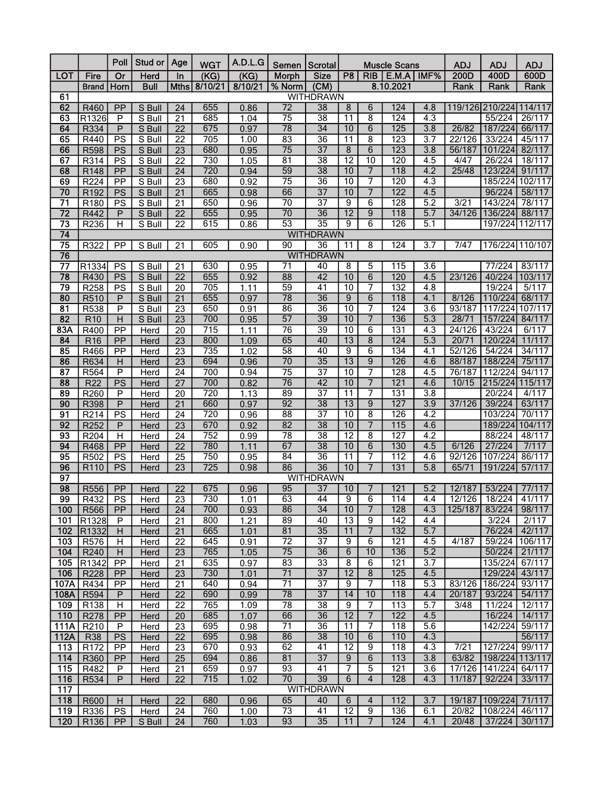|                                    |                     | Poll                      | Stud or        | Age                                | <b>WGT</b>       | A.D.L.G      |                       | Semen   Scrotal                     |                      |                         | <b>Muscle Scans</b> |                  | <b>ADJ</b>      | <b>ADJ</b>                | <b>ADJ</b>       |
|------------------------------------|---------------------|---------------------------|----------------|------------------------------------|------------------|--------------|-----------------------|-------------------------------------|----------------------|-------------------------|---------------------|------------------|-----------------|---------------------------|------------------|
| <b>LOT</b>                         | Fire                | $\overline{or}$           | <b>Herd</b>    | In                                 | (KG)             | (KG)         | <b>Morph</b>          | <b>Size</b>                         | P8                   | RIB                     | E.M.A               | IMF%             | 200D            | 400D                      | 600D             |
|                                    | <b>Brand</b>        | Horn                      | <b>Bull</b>    | Mths                               | 8/10/21          | 8/10/21      | % Norm                | (CM)                                |                      |                         | 8.10.2021           |                  | Rank            | Rank                      | Rank             |
| 61                                 |                     |                           |                |                                    |                  |              |                       | <b>WITHDRAWN</b>                    |                      |                         |                     |                  |                 |                           |                  |
| 62                                 | R460                | PP                        | S Bull         | 24                                 | 655              | 0.86         | $\overline{72}$       | $\overline{38}$                     | 8                    | 6                       | 124                 | 4.8              |                 | 119/126 210/224           | 114/117          |
| 63                                 | R1326               | $\mathsf{P}$              | S Bull         | $\overline{21}$                    | 685              | 1.04         | $\overline{75}$       | $\overline{38}$                     | $\overline{11}$      | $\overline{8}$          | $\overline{124}$    | 4.3              |                 | 55/224                    | 26/117           |
| 64                                 | R334                | P                         | S Bull         | 22                                 | 675              | 0.97         | 78                    | $\overline{34}$                     | 10                   | 6                       | 125                 | 3.8              | 26/82           | 187/224                   | 66/117           |
| 65                                 | R440                | PS                        | S Bull         | $\overline{22}$                    | 705              | 1.00         | 83                    | $\overline{36}$                     | $\overline{11}$      | 8                       | 123                 | 3.7              | 22/126          | 33/224                    | 45/117           |
| 66                                 | <b>R598</b>         | PS                        | S Bull         | 23                                 | 680              | 0.95         | $\overline{75}$       | $\overline{37}$                     | 8                    | 6                       | 123                 | $\overline{3.8}$ | 56/187          | 101/224                   | 82/117           |
| 67                                 | R314                | PS                        | S Bull         | 22                                 | 730              | 1.05         | 81                    | $\overline{38}$                     | $\overline{12}$      | 10                      | 120                 | 4.5              | 4/47            | 26/224                    | 18/117           |
| 68                                 | R148                | PP                        | S Bull         | 24                                 | 720              | 0.94         | 59                    | $\overline{38}$                     | 10                   | $\overline{7}$          | 118                 | 4.2              | 25/48           | 123/224                   | 91/117           |
| 69                                 | R224                | PP                        | S Bull         | 23                                 | 680              | 0.92         | $\overline{75}$       | 36                                  | $\overline{10}$      | 7                       | 120                 | 4.3              |                 | 185/224                   | 102/117          |
| 70                                 | R192                | <b>PS</b>                 | S Bull         | 21                                 | 665              | 0.98         | 66<br>70              | $\overline{37}$<br>$\overline{37}$  | 10                   | $\overline{7}$          | 122<br>128          | 4.5              | 3/21            | 96/224                    | 58/117           |
| $\overline{71}$<br>$\overline{72}$ | R180                | PS                        | S Bull         | 21                                 | 650<br>655       | 0.96         | $\overline{70}$       | $\overline{36}$                     | 9<br>$\overline{12}$ | 6                       | $\overline{118}$    | 5.2              | 34/126          | 143/224<br>136/224        | 78/117<br>88/117 |
| 73                                 | R442                | $\mathsf{P}$              | S Bull         | $\overline{22}$<br>$\overline{22}$ | 615              | 0.95         | $\overline{53}$       | $\overline{35}$                     | 9                    | 9<br>6                  | 126                 | 5.7              |                 |                           | 197/224 112/117  |
| 74                                 | R236                | H                         | S Bull         |                                    |                  | 0.86         |                       | <b>WITHDRAWN</b>                    |                      |                         |                     | 5.1              |                 |                           |                  |
| $\overline{75}$                    | R322                |                           | S Bull         |                                    | 605              | 0.90         | 90                    | 36                                  | 11                   | 8                       | 124                 | 3.7              | 7/47            |                           | 176/224 110/107  |
| 76                                 |                     | PP                        |                | 21                                 |                  |              |                       | <b>WITHDRAWN</b>                    |                      |                         |                     |                  |                 |                           |                  |
| $\overline{77}$                    | R1334               | PS                        | S Bull         | 21                                 | 630              | 0.95         | 71                    | 40                                  | 8                    | 5                       | 115                 | $\overline{3.6}$ |                 | 77/224                    | 83/117           |
| 78                                 | R430                | PS                        | S Bull         | $\overline{22}$                    | 655              | 0.92         | 88                    | 42                                  | 10                   | 6                       | 120                 | 4.5              | 23/126          | 40/224                    | 103/117          |
| 79                                 | R258                | PS                        | S Bull         | 20                                 | 705              | 1.11         | 59                    | 41                                  | 10                   | 7                       | 132                 | 4.8              |                 | 19/224                    | 5/117            |
| 80                                 | R510                | $\mathsf{P}$              | S Bull         | 21                                 | 655              | 0.97         | $\overline{78}$       | 36                                  | $\overline{9}$       | 6                       | 118                 | 4.1              | 8/126           | 110/224                   | 68/117           |
| $\overline{81}$                    | R538                | $\mathsf{P}$              | S Bull         | $\overline{23}$                    | 650              | 0.91         | 86                    | $\overline{36}$                     | 10                   | 7                       | 124                 | $\overline{3.6}$ | 93/187          | 117/224                   | 107/117          |
| 82                                 | R10                 | $\overline{H}$            | S Bull         | 23                                 | 700              | 0.95         | 57                    | 39                                  | 10                   | 7                       | 136                 | 5.3              | 28/71           | 157/224                   | 84/117           |
| 83A                                | R400                | PP                        | Herd           | 20                                 | $\overline{715}$ | 1.11         | 76                    | 39                                  | 10                   | 6                       | 131                 | $\overline{4.3}$ | 24/126          | 43/224                    | 6/117            |
| 84                                 | R <sub>16</sub>     | PP                        | Herd           | $\overline{23}$                    | 800              | 1.09         | 65                    | 40                                  | $\overline{13}$      | $\overline{8}$          | 124                 | 5.3              | 20/71           | 120/224                   | 11/117           |
| 85                                 | R466                | PP                        | Herd           | $\overline{23}$                    | 735              | 1.02         | $\overline{58}$       | 40                                  | $\overline{9}$       | 6                       | 134                 | 4.1              | 52/126          | 54/224                    | 34/117           |
| 86                                 | R634                | Н                         | Herd           | $\overline{23}$                    | 694              | 0.96         | 70                    | 35                                  | $\overline{13}$      | 9                       | 126                 | 4.6              | 88/187          | 188/224                   | 75/117           |
| $\overline{87}$                    | R564                | $\mathsf{P}$              | Herd           | 24                                 | 700              | 0.94         | $\overline{75}$       | $\overline{37}$                     | $\overline{10}$      | 7                       | 128                 | $\overline{4.5}$ | 76/187          | 112/224                   | 94/117           |
| 88                                 | <b>R22</b>          | PS                        | Herd           | 27                                 | 700              | 0.82         | $\overline{76}$       | 42                                  | 10                   | 7                       | 121                 | 4.6              | 10/15           | 215/224 115/117           |                  |
| 89                                 | R260                | P                         | Herd           | 20                                 | 720              | 1.13         | 89                    | $\overline{37}$                     | $\overline{11}$      | 7                       | 131                 | $\overline{3.8}$ |                 | 20/224                    | 4/117            |
| 90                                 | R398                | $\overline{P}$            | Herd           | 21                                 | 660              | 0.97         | 92                    | $\overline{38}$                     | $\overline{13}$      | $\overline{9}$          | 127                 | 3.9              | 37/126          | 39/224                    | 63/117           |
| 91                                 | R214                | PS                        | Herd           | $\overline{24}$                    | 720              | 0.96         | $\overline{88}$       | $\overline{37}$                     | $\overline{10}$      | $\overline{8}$          | 126                 | 4.2              |                 | 103/224                   | 70/117           |
| 92                                 | R252                | P                         | Herd           | 23                                 | 670              | 0.92         | 82                    | $\overline{38}$                     | 10                   | 7                       | 115                 | 4.6              |                 | 189/224                   | 104/117          |
| 93                                 | R204                | H                         | Herd           | 24                                 | 752              | 0.99         | $\overline{78}$       | $\overline{38}$                     | $\overline{12}$      | $\overline{\mathbf{8}}$ | 127                 | 4.2              |                 | 88/224                    | 48/117           |
| 94                                 | R468                | PP                        | Herd           | $\overline{22}$                    | 780              | 1.11         | 67                    | 38                                  | 10                   | 6                       | 130                 | 4.5              | 6/126           | 27/224                    | 7/117            |
| 95                                 | R502                | PS                        | Herd           | $\overline{25}$                    | 750              | 0.95         | $\overline{84}$       | 36                                  | $\overline{11}$      | 7                       | 112                 | 4.6              | 92/126          | 107/224                   | 86/117           |
| 96                                 | R110                | PS                        | Herd           | 23                                 | 725              | 0.98         | 86                    | 36                                  | 10                   | 7                       | 131                 | 5.8              | 65/71           | 191/224                   | 57/117           |
| 97<br>98                           |                     |                           |                |                                    | 675              |              | 95                    | <b>WITHDRAWN</b><br>$\overline{37}$ | 10                   | 7                       | 121                 | 5.2              | 12/187          | 53/224                    | 77/117           |
| $\overline{99}$                    | <b>R556</b><br>R432 | PP<br>PS                  | Herd<br>Herd   | 22<br>$\overline{23}$              | 730              | 0.96<br>1.01 | $\overline{63}$       | 44                                  | $\overline{9}$       | $\overline{6}$          | 114                 | 4.4              |                 | 12/126 18/224 41/117      |                  |
| 100                                | R566                | PP                        | Herd           | 24                                 | 700              | 0.93         | 86                    | $\overline{34}$                     | 10                   | $\overline{7}$          | 128                 | 4.3              | 125/187         | 83/224                    | 98/117           |
| 101                                | R1328               | P                         | Herd           | 21                                 | 800              | 1.21         | 89                    | 40                                  | 13                   | 9                       | 142                 | 4.4              |                 | 3/224                     | 2/117            |
| 102                                | R1332               | $\boldsymbol{\mathsf{H}}$ | Herd           | 21                                 | 665              | 1.01         | 81                    | 35                                  | 11                   | $\overline{7}$          | 132                 | 5.7              |                 | 76/224                    | 42/117           |
| 103                                | R576                | H                         | Herd           | 22                                 | 645              | 0.91         | $\overline{72}$       | $\overline{37}$                     | $\overline{9}$       | 6                       | 121                 | 4.5              | 4/187           | 59/224                    | 106/117          |
| 104                                | R240                | H                         | Herd           | 23                                 | 765              | 1.05         | 75                    | 36                                  | $\overline{6}$       | 10                      | 136                 | 5.2              |                 | 50/224                    | 21/117           |
| 105                                | R1342               | PP                        | Herd           | 21                                 | 635              | 0.97         | 83                    | $\overline{33}$                     | $\overline{8}$       | 6                       | 121                 | 3.7              |                 | 135/224                   | 67/117           |
| 106                                | R228                | PP                        | Herd           | 23                                 | 730              | 1.01         | 71                    | $\overline{37}$                     | $\overline{12}$      | $\overline{8}$          | 125                 | 4.5              |                 | 129/224                   | 43/117           |
| 107A                               | R434                | PP                        | Herd           | $\overline{21}$                    | 640              | 0.94         | $\overline{71}$       | $\overline{37}$                     | $\overline{9}$       | $\overline{7}$          | 118                 | 5.3              | 83/126          | 186/224                   | 93/117           |
| 108A                               | R594                | P                         | Herd           | 22                                 | 690              | 0.99         | 78                    | $\overline{37}$                     | 14                   | 10                      | 118                 | 4.4              | 20/187          | 93/224                    | 54/117           |
| 109                                | R138                | H                         | Herd           | 22                                 | 765              | 1.09         | $\overline{78}$       | $\overline{38}$                     | $\overline{9}$       | $\overline{7}$          | 113                 | 5.7              | 3/48            | 11/224                    | 12/117           |
| 110                                | R278                | PP                        | Herd           | 20                                 | 685              | 1.07         | 66                    | 36                                  | $\overline{12}$      | $\overline{7}$          | 122                 | 4.5              |                 | 16/224                    | 14/117           |
| 111A                               | R210                | $\overline{P}$            | Herd           | 23                                 | 695              | 0.98         | $\overline{71}$       | $\overline{36}$                     | $\overline{11}$      | 7                       | 118                 | 5.6              |                 | 142/224                   | 59/117           |
| 112A                               | <b>R38</b>          | <b>PS</b>                 | Herd           | 22                                 | 695              | 0.98         | 86                    | 38                                  | 10                   | 6                       | 110                 | 4.3              |                 |                           | 56/117           |
| 113                                | R172                | PP                        | Herd           | 23                                 | 670              | 0.93         | 62                    | 41                                  | $\overline{12}$      | 9                       | $\overline{118}$    | 4.3              | 7/21            | 127/224 99/117            |                  |
| 114                                | R360                | PP                        | Herd           | 25                                 | 694              | 0.86         | 81                    | $\overline{37}$                     | $\overline{9}$       | 6                       | 113                 | 3.8              | 63/82           | 198/224 113/117           |                  |
| 115                                | R482                | P                         | Herd           | 21                                 | 659              | 0.97         | 93                    | 41                                  | 7                    | $\overline{5}$          | 121                 | 3.6              |                 | 17/126 141/224            | 64/117           |
| 116                                | R534                | P                         | Herd           | 22                                 | 715              | 1.02         | $\overline{70}$       | $\overline{39}$                     | 6                    | $\overline{4}$          | 128                 | 4.3              | 11/187          | 92/224                    | 33/117           |
| 117                                |                     |                           |                |                                    |                  |              |                       | <b>WITHDRAWN</b>                    |                      | $\overline{4}$          |                     |                  |                 |                           |                  |
| 118<br>119                         | R600<br>R336        | H<br><b>PS</b>            | Herd           | 22<br>24                           | 680<br>760       | 0.96<br>1.00 | 65<br>$\overline{73}$ | 40<br>41                            | 6<br>$\overline{12}$ | 9                       | 112<br>136          | 3.7<br>6.1       | 19/187<br>20/82 | 109/224 71/117<br>108/224 | 46/117           |
| 120                                | R136                | PP                        | Herd<br>S Bull | 24                                 | 760              | 1.03         | 93                    | 35                                  | 11                   | $\overline{7}$          | 124                 | 4.1              | 20/48           | 37/224                    | 30/117           |
|                                    |                     |                           |                |                                    |                  |              |                       |                                     |                      |                         |                     |                  |                 |                           |                  |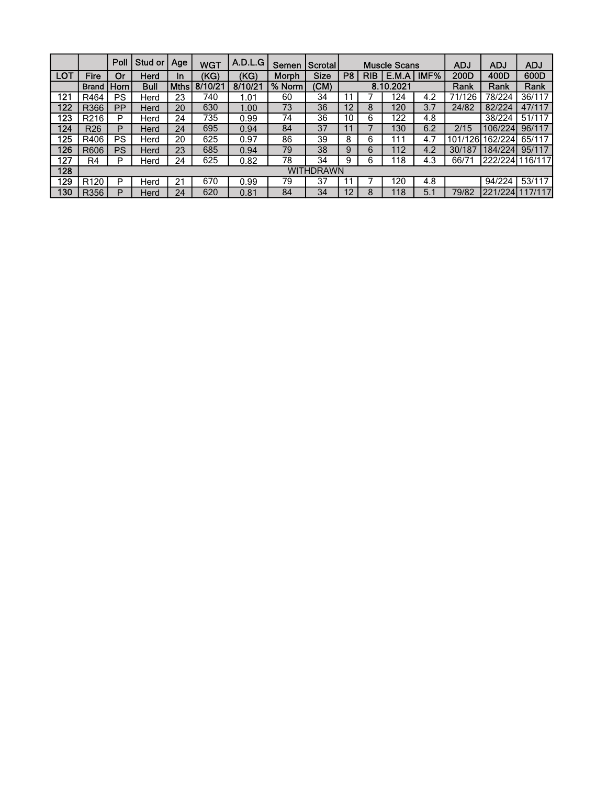|     |                  | Poll      | Stud or | Age         | <b>WGT</b> | A.D.L.G | Semen  | <b>Scrotal</b> |                |            | <b>Muscle Scans</b> |      | <b>ADJ</b> | <b>ADJ</b> | <b>ADJ</b>      |
|-----|------------------|-----------|---------|-------------|------------|---------|--------|----------------|----------------|------------|---------------------|------|------------|------------|-----------------|
| LOT | Fire             | Or        | Herd    | In          | (KG)       | (KG)    | Morph  | <b>Size</b>    | P <sub>8</sub> | <b>RIB</b> | E.M.A               | IMF% | 200D       | 400D       | 600D            |
|     | <b>Brand</b>     | Horn      | Bull    | <b>Mths</b> | 8/10/21    | 8/10/21 | % Norm | (CM)           |                |            | 8.10.2021           |      | Rank       | Rank       | Rank            |
| 121 | R464             | <b>PS</b> | Herd    | 23          | 740        | 1.01    | 60     | 34             | 11             |            | 124                 | 4.2  | 71/126     | 78/224     | 36/117          |
| 122 | R366             | <b>PP</b> | Herd    | 20          | 630        | 1.00    | 73     | 36             | 12             | 8          | 120                 | 3.7  | 24/82      | 82/224     | 47/117          |
| 123 | R <sub>216</sub> | P         | Herd    | 24          | 735        | 0.99    | 74     | 36             | 10             | 6          | 122                 | 4.8  |            | 38/224     | 51/117          |
| 124 | R <sub>26</sub>  | P         | Herd    | 24          | 695        | 0.94    | 84     | 37             |                |            | 130                 | 6.2  | 2/15       | 106/224    | 96/117          |
| 125 | R406             | <b>PS</b> | Herd    | 20          | 625        | 0.97    | 86     | 39             | 8              | 6          | 111                 | 4.7  | 101/126    | 162/2241   | 65/117          |
| 126 | R606             | <b>PS</b> | Herd    | 23          | 685        | 0.94    | 79     | 38             | 9              | 6          | 112                 | 4.2  | 30/187     | 184/2241   | 95/117          |
| 127 | R4               | P         | Herd    | 24          | 625        | 0.82    | 78     | 34             | 9              | 6          | 118                 | 4.3  | 66/71      |            | 222/2241116/117 |
| 128 | WITHDRAWN        |           |         |             |            |         |        |                |                |            |                     |      |            |            |                 |
| 129 | R <sub>120</sub> | P         | Herd    | 21          | 670        | 0.99    | 79     | 37             |                |            | 120                 | 4.8  |            | 94/224     | 53/117          |
| 130 | R356             | P         | Herd    | 24          | 620        | 0.81    | 84     | 34             | 12             | 8          | 118                 | 5.1  | 79/82      | 221/224    | 17/117          |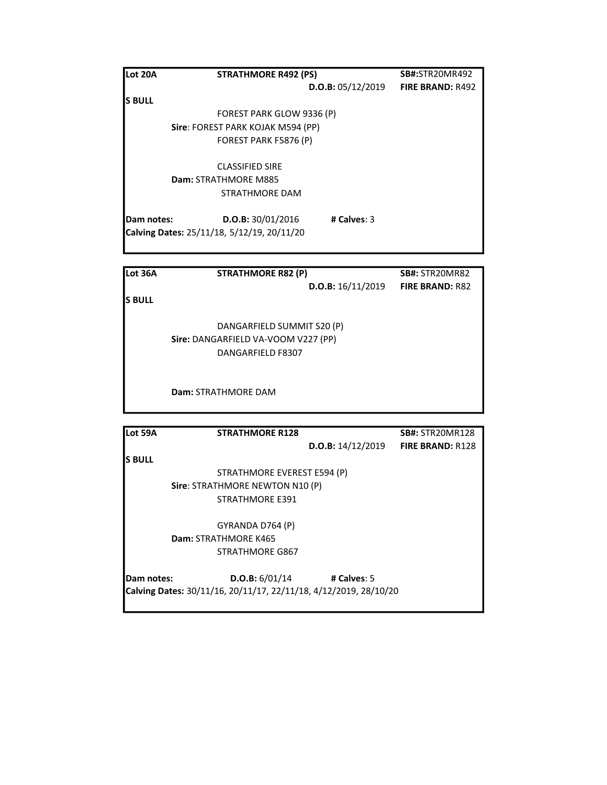| <b>Lot 20A</b> | <b>STRATHMORE R492 (PS)</b>                |                   | <b>SB#:</b> STR20MR492  |
|----------------|--------------------------------------------|-------------------|-------------------------|
|                |                                            | D.O.B: 05/12/2019 | <b>FIRE BRAND: R492</b> |
| <b>S BULL</b>  |                                            |                   |                         |
|                | FOREST PARK GLOW 9336 (P)                  |                   |                         |
|                | Sire: FOREST PARK KOJAK M594 (PP)          |                   |                         |
|                | FOREST PARK F5876 (P)                      |                   |                         |
|                | <b>CLASSIFIED SIRE</b>                     |                   |                         |
|                | Dam: STRATHMORE M885                       |                   |                         |
|                | <b>STRATHMORE DAM</b>                      |                   |                         |
| Dam notes:     | D.O.B: 30/01/2016                          | # Calves: $3$     |                         |
|                | Calving Dates: 25/11/18, 5/12/19, 20/11/20 |                   |                         |
|                |                                            |                   |                         |

| Lot 36A       | <b>STRATHMORE R82 (P)</b>           | <b>SB#: STR20MR82</b>  |
|---------------|-------------------------------------|------------------------|
|               | D.O.B: 16/11/2019                   | <b>FIRE BRAND: R82</b> |
| <b>S BULL</b> |                                     |                        |
|               | DANGARFIELD SUMMIT S20 (P)          |                        |
|               | Sire: DANGARFIELD VA-VOOM V227 (PP) |                        |
|               | DANGARFIELD F8307                   |                        |
|               |                                     |                        |
|               | <b>Dam: STRATHMORE DAM</b>          |                        |
|               |                                     |                        |

| Lot 59A    | <b>STRATHMORE R128</b>                                           |                   | <b>SB#: STR20MR128</b>  |
|------------|------------------------------------------------------------------|-------------------|-------------------------|
|            |                                                                  | D.O.B: 14/12/2019 | <b>FIRE BRAND: R128</b> |
| ls BULL    |                                                                  |                   |                         |
|            | STRATHMORE EVEREST E594 (P)                                      |                   |                         |
|            | Sire: STRATHMORE NEWTON N10 (P)                                  |                   |                         |
|            | <b>STRATHMORE E391</b>                                           |                   |                         |
|            | GYRANDA D764 (P)                                                 |                   |                         |
|            | Dam: STRATHMORE K465                                             |                   |                         |
|            | <b>STRATHMORE G867</b>                                           |                   |                         |
| Dam notes: | D.O.B: 6/01/14                                                   | # Calves: $5$     |                         |
|            | Calving Dates: 30/11/16, 20/11/17, 22/11/18, 4/12/2019, 28/10/20 |                   |                         |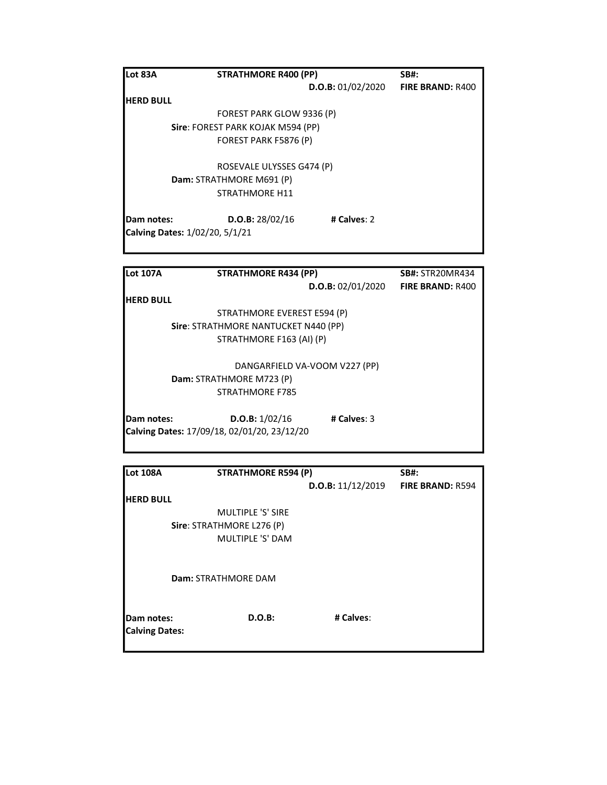| Lot 83A                        | <b>STRATHMORE R400 (PP)</b>       |                   | <b>SB#:</b>              |
|--------------------------------|-----------------------------------|-------------------|--------------------------|
|                                |                                   | D.O.B: 01/02/2020 | <b>FIRE BRAND: R400</b>  |
| <b>HERD BULL</b>               |                                   |                   |                          |
|                                | FOREST PARK GLOW 9336 (P)         |                   |                          |
|                                | Sire: FOREST PARK KOJAK M594 (PP) |                   |                          |
|                                | FOREST PARK F5876 (P)             |                   |                          |
|                                | ROSEVALE ULYSSES G474 (P)         |                   |                          |
|                                | Dam: STRATHMORE M691 (P)          |                   |                          |
|                                | <b>STRATHMORE H11</b>             |                   |                          |
| Dam notes:                     | D.O.B: 28/02/16                   | # Calves: 2       |                          |
| Calving Dates: 1/02/20, 5/1/21 |                                   |                   |                          |
|                                |                                   |                   |                          |
| ll ot 107A                     | <b>STRATHMORE RA34 (DD)</b>       |                   | <b>SRH</b> · STROOMAR434 |

| ILOt 107A        | STRATHMORE R434 (PP)                        |                   | <b>SB#:</b> STRZUMR434  |
|------------------|---------------------------------------------|-------------------|-------------------------|
|                  |                                             | D.O.B: 02/01/2020 | <b>FIRE BRAND: R400</b> |
| <b>HERD BULL</b> |                                             |                   |                         |
|                  | STRATHMORE EVEREST E594 (P)                 |                   |                         |
|                  | Sire: STRATHMORE NANTUCKET N440 (PP)        |                   |                         |
|                  | STRATHMORE F163 (AI) (P)                    |                   |                         |
|                  | DANGARFIELD VA-VOOM V227 (PP)               |                   |                         |
|                  | Dam: STRATHMORE M723 (P)                    |                   |                         |
|                  | <b>STRATHMORE F785</b>                      |                   |                         |
| Dam notes:       | D.O.B: 1/02/16                              | # Calves: $3$     |                         |
|                  | Calving Dates: 17/09/18, 02/01/20, 23/12/20 |                   |                         |
|                  |                                             |                   |                         |

| <b>Lot 108A</b>                     | <b>STRATHMORE R594 (P)</b> |                   | <b>SB#:</b>             |
|-------------------------------------|----------------------------|-------------------|-------------------------|
|                                     |                            | D.O.B: 11/12/2019 | <b>FIRE BRAND: R594</b> |
| <b>HERD BULL</b>                    |                            |                   |                         |
|                                     | <b>MULTIPLE 'S' SIRE</b>   |                   |                         |
|                                     | Sire: STRATHMORE L276 (P)  |                   |                         |
|                                     | MULTIPLE 'S' DAM           |                   |                         |
|                                     | Dam: STRATHMORE DAM        |                   |                         |
| Dam notes:<br><b>Calving Dates:</b> | $D.O.B$ :                  | # Calves:         |                         |